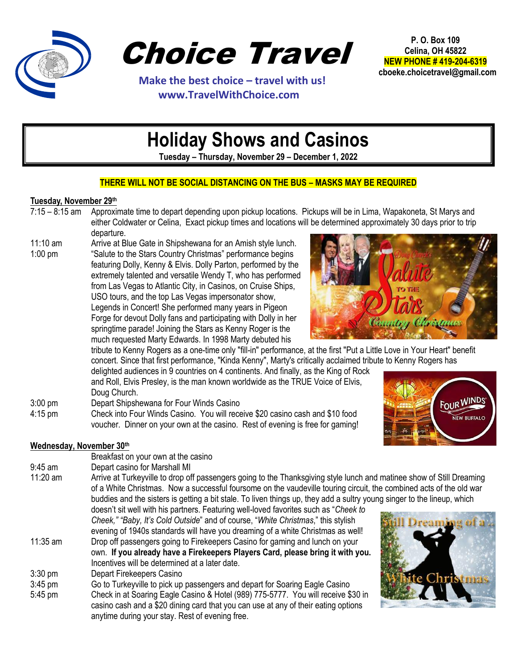

Choice Travel

 **Make the best choice – travel with us! www.TravelWithChoice.com**

**P. O. Box 109 Celina, OH 45822 NEW PHONE # 419-204-6319 cboeke.choicetravel@gmail.com** 

# **Holiday Shows and Casinos**

**Tuesday – Thursday, November 29 – December 1, 2022**

### **THERE WILL NOT BE SOCIAL DISTANCING ON THE BUS – MASKS MAY BE REQUIRED**

### **Tuesday, November 29th**

- 7:15 8:15 am Approximate time to depart depending upon pickup locations. Pickups will be in Lima, Wapakoneta, St Marys and either Coldwater or Celina, Exact pickup times and locations will be determined approximately 30 days prior to trip departure.
- 11:10 am Arrive at Blue Gate in Shipshewana for an Amish style lunch. 1:00 pm "Salute to the Stars Country Christmas" performance begins featuring Dolly, Kenny & Elvis. Dolly Parton, performed by the extremely talented and versatile Wendy T, who has performed from Las Vegas to Atlantic City, in Casinos, on Cruise Ships, USO tours, and the top Las Vegas impersonator show, Legends in Concert! She performed many years in Pigeon Forge for devout Dolly fans and participating with Dolly in her springtime parade! Joining the Stars as Kenny Roger is the much requested Marty Edwards. In 1998 Marty debuted his



tribute to Kenny Rogers as a one-time only "fill-in" performance, at the first "Put a Little Love in Your Heart" benefit concert. Since that first performance, "Kinda Kenny", Marty's critically acclaimed tribute to Kenny Rogers has

delighted audiences in 9 countries on 4 continents. And finally, as the King of Rock and Roll, Elvis Presley, is the man known worldwide as the TRUE Voice of Elvis, Doug Church.

- 3:00 pm Depart Shipshewana for Four Winds Casino
- 4:15 pm Check into Four Winds Casino. You will receive \$20 casino cash and \$10 food voucher. Dinner on your own at the casino. Rest of evening is free for gaming!



## **Wednesday, November 30th**

Breakfast on your own at the casino 9:45 am Depart casino for Marshall MI 11:20 am Arrive at Turkeyville to drop off passengers going to the Thanksgiving style lunch and matinee show of Still Dreaming of a White Christmas. Now a successful foursome on the vaudeville touring circuit, the combined acts of the old war buddies and the sisters is getting a bit stale. To liven things up, they add a sultry young singer to the lineup, which doesn't sit well with his partners. Featuring well-loved favorites such as "*Cheek to Cheek," "Baby, It's Cold Outside*" and of course, "*White Christmas*," this stylish evening of 1940s standards will have you dreaming of a white Christmas as well! 11:35 am Drop off passengers going to Firekeepers Casino for gaming and lunch on your own. **If you already have a Firekeepers Players Card, please bring it with you.**  Incentives will be determined at a later date. 3:30 pm Depart Firekeepers Casino 3:45 pm Go to Turkeyville to pick up passengers and depart for Soaring Eagle Casino 5:45 pm Check in at Soaring Eagle Casino & Hotel (989) 775-5777. You will receive \$30 in casino cash and a \$20 dining card that you can use at any of their eating options anytime during your stay. Rest of evening free.